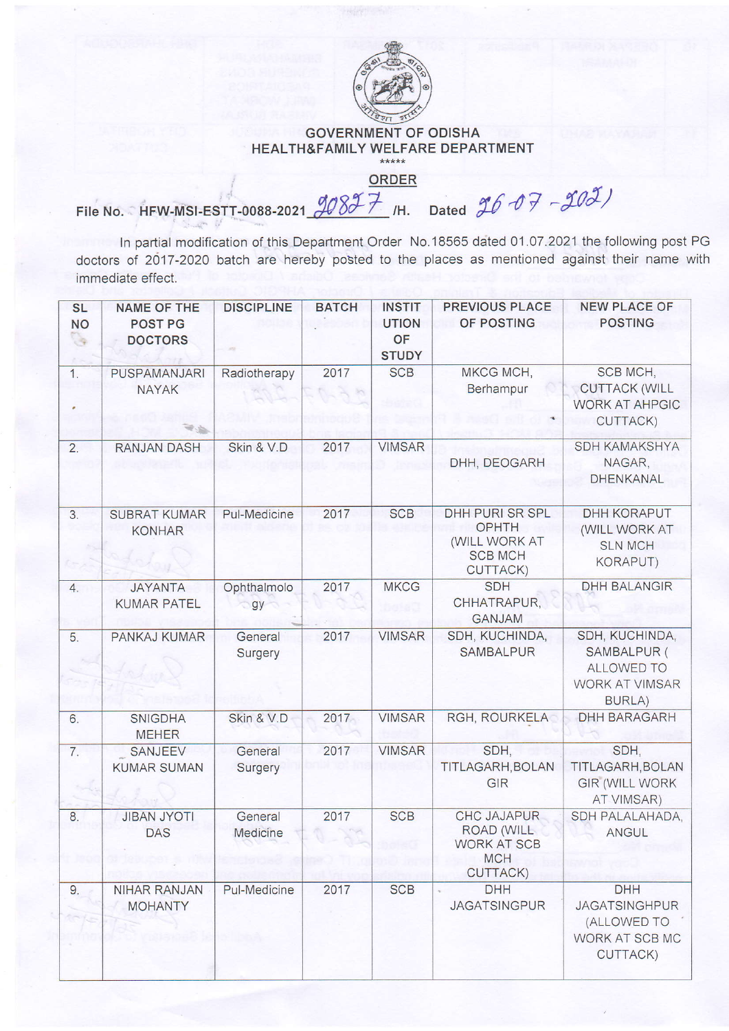

## GOVERNMENT OF ODISHA HEALTH&FAMILY WELFARE DEPARTMENT

ORDER

File No. HFW-MSI-ESTT-0088-2021  $\cancel{90877}$  /H. Dated  $\cancel{9607}$  -  $\cancel{903}$ )

In partial modification of this Department Order No.18565 dated 01.07.2021 the following post PG doctors of 2017 -2020 batch are hereby posted to the places as mentioned against their name with immediate effect.

| <b>SL</b><br><b>NO</b><br>्द | <b>NAME OF THE</b><br><b>POST PG</b><br><b>DOCTORS</b> | <b>DISCIPLINE</b>   | <b>BATCH</b> | <b>INSTIT</b><br><b>UTION</b><br>OF<br><b>STUDY</b> | <b>PREVIOUS PLACE</b><br>OF POSTING                                                            | <b>NEW PLACE OF</b><br><b>POSTING</b>                                                 |
|------------------------------|--------------------------------------------------------|---------------------|--------------|-----------------------------------------------------|------------------------------------------------------------------------------------------------|---------------------------------------------------------------------------------------|
| 1.                           | PUSPAMANJARI<br><b>NAYAK</b>                           | Radiotherapy        | 2017         | <b>SCB</b>                                          | MKCG MCH,<br>Berhampur<br>×.                                                                   | SCB MCH,<br><b>CUTTACK (WILL</b><br><b>WORK AT AHPGIC</b><br>CUTTACK)                 |
| 2.                           | RANJAN DASH                                            | Skin & V.D          | 2017         | <b>VIMSAR</b>                                       | DHH, DEOGARH                                                                                   | SDH KAMAKSHYA<br>NAGAR,<br><b>DHENKANAL</b>                                           |
| 3.                           | <b>SUBRAT KUMAR</b><br><b>KONHAR</b>                   | Pul-Medicine        | 2017         | <b>SCB</b>                                          | DHH PURI SR SPL<br>OPHTH<br>(WILL WORK AT<br><b>SCB MCH</b><br>CUTTACK)                        | DHH KORAPUT<br>(WILL WORK AT<br><b>SLN MCH</b><br><b>KORAPUT)</b>                     |
| 4.                           | <b>JAYANTA</b><br><b>KUMAR PATEL</b>                   | Ophthalmolo<br>gy   | 2017         | <b>MKCG</b>                                         | <b>SDH</b><br>CHHATRAPUR,<br><b>GANJAM</b>                                                     | <b>DHH BALANGIR</b>                                                                   |
| 5.                           | PANKAJ KUMAR                                           | General<br>Surgery  | 2017         | <b>VIMSAR</b>                                       | SDH, KUCHINDA,<br><b>SAMBALPUR</b>                                                             | SDH, KUCHINDA,<br>SAMBALPUR (<br>ALLOWED TO<br><b>WORK AT VIMSAR</b><br><b>BURLA)</b> |
| 6.                           | <b>SNIGDHA</b><br><b>MEHER</b>                         | Skin & V.D          | 2017         | <b>VIMSAR</b>                                       | RGH, ROURKELA                                                                                  | <b>DHH BARAGARH</b>                                                                   |
| 7.                           | SANJEEV<br><b>KUMAR SUMAN</b>                          | General<br>Surgery  | 2017         | <b>VIMSAR</b>                                       | SDH,<br>TITLAGARH, BOLAN<br>GIR                                                                | SDH,<br>TITLAGARH, BOLAN<br><b>GIR (WILL WORK</b><br>AT VIMSAR)                       |
| 8.                           | <b>JIBAN JYOTI</b><br><b>DAS</b>                       | General<br>Medicine | 2017         | <b>SCB</b>                                          | <b>CHC JAJAPUR</b><br><b>ROAD (WILL</b><br><b>WORK AT SCB</b><br><b>MCH</b><br><b>CUTTACK)</b> | SDH PALALAHADA,<br>ANGUL                                                              |
| 9.                           | <b>NIHAR RANJAN</b><br><b>MOHANTY</b>                  | Pul-Medicine        | 2017         | <b>SCB</b>                                          | <b>DHH</b><br><b>JAGATSINGPUR</b>                                                              | <b>DHH</b><br><b>JAGATSINGHPUR</b><br>(ALLOWED TO<br>WORK AT SCB MC<br>CUTTACK)       |